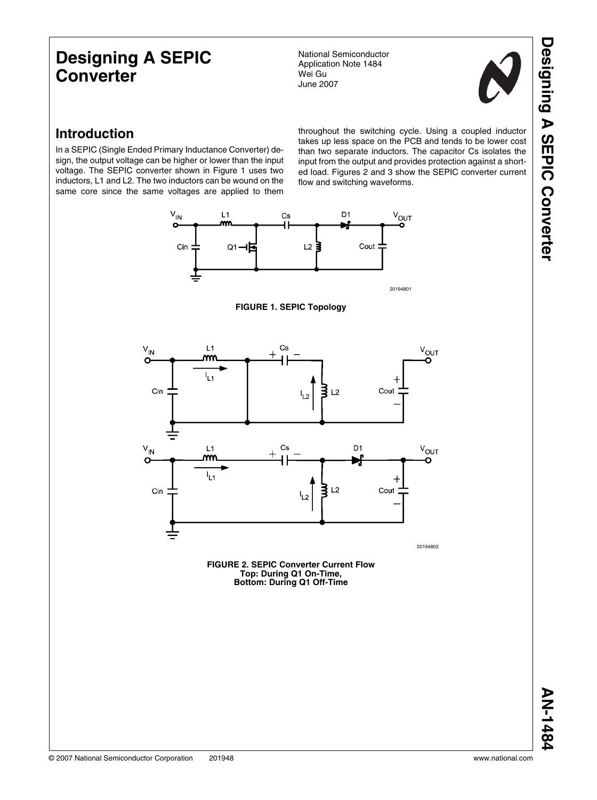# **Designing A SEPIC Converter**

National Semiconductor Application Note 1484 Wei Gu June 2007



## **Introduction**

In a SEPIC (Single Ended Primary Inductance Converter) design, the output voltage can be higher or lower than the input voltage. The SEPIC converter shown in Figure 1 uses two inductors, L1 and L2. The two inductors can be wound on the same core since the same voltages are applied to them

throughout the switching cycle. Using a coupled inductor takes up less space on the PCB and tends to be lower cost than two separate inductors. The capacitor Cs isolates the input from the output and provides protection against a shorted load. Figures 2 and 3 show the SEPIC converter current flow and switching waveforms.



20194801





**FIGURE 2. SEPIC Converter Current Flow Top: During Q1 On-Time, Bottom: During Q1 Off-Time**

 **AN-1484AN-1484**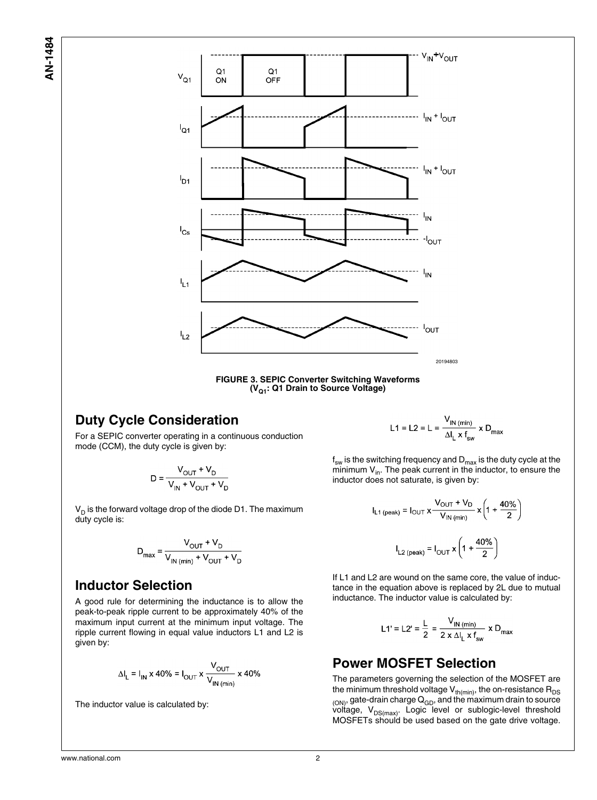AN-1484 **AN-1484**



## **Duty Cycle Consideration**

For a SEPIC converter operating in a continuous conduction mode (CCM), the duty cycle is given by:

$$
D = \frac{V_{\text{OUT}} + V_{\text{D}}}{V_{\text{IN}} + V_{\text{OUT}} + V_{\text{D}}}
$$

 $\bm{\mathsf{V}}_\mathsf{D}$  is the forward voltage drop of the diode D1. The maximum duty cycle is:

$$
D_{\text{max}} = \frac{V_{\text{OUT}} + V_{\text{D}}}{V_{\text{IN (min)}} + V_{\text{OUT}} + V_{\text{D}}}
$$

## **Inductor Selection**

A good rule for determining the inductance is to allow the peak-to-peak ripple current to be approximately 40% of the maximum input current at the minimum input voltage. The ripple current flowing in equal value inductors L1 and L2 is given by:

$$
\Delta I_{L} = I_{IN} \times 40\% = I_{OUT} \times \frac{V_{OUT}}{V_{IN\ (min)}} \times 40\%
$$

The inductor value is calculated by:

L1 = L2 = L =  $\frac{V_{IN (min)}}{\Delta I_1 \times I_{cur}}$  x D<sub>max</sub>

 $\boldsymbol{\mathsf{f}}_{\mathsf{sw}}$  is the switching frequency and  $\boldsymbol{\mathsf{D}}_{\mathsf{max}}$  is the duty cycle at the minimum  $V_{in}$ . The peak current in the inductor, to ensure the inductor does not saturate, is given by:

$$
I_{L1 (peak)} = I_{OUT} \times \frac{V_{OUT} + V_D}{V_{IN (min)}} \times \left(1 + \frac{40\%}{2}\right)
$$

$$
I_{L2 (peak)} = I_{OUT} \times \left(1 + \frac{40\%}{2}\right)
$$

If L1 and L2 are wound on the same core, the value of inductance in the equation above is replaced by 2L due to mutual inductance. The inductor value is calculated by:

$$
L1' = L2' = \frac{L}{2} = \frac{V_{IN \, (min)}}{2 \times \Delta l_L \times f_{sw}} \times D_{max}
$$

## **Power MOSFET Selection**

The parameters governing the selection of the MOSFET are the minimum threshold voltage  $V_{th(min)}$ , the on-resistance  $R_{DS}$  $(0)$ , gate-drain charge  $Q_{GD}$ , and the maximum drain to source voltage,  $V_{DS(max)}$ . Logic level or sublogic-level threshold MOSFETs should be used based on the gate drive voltage.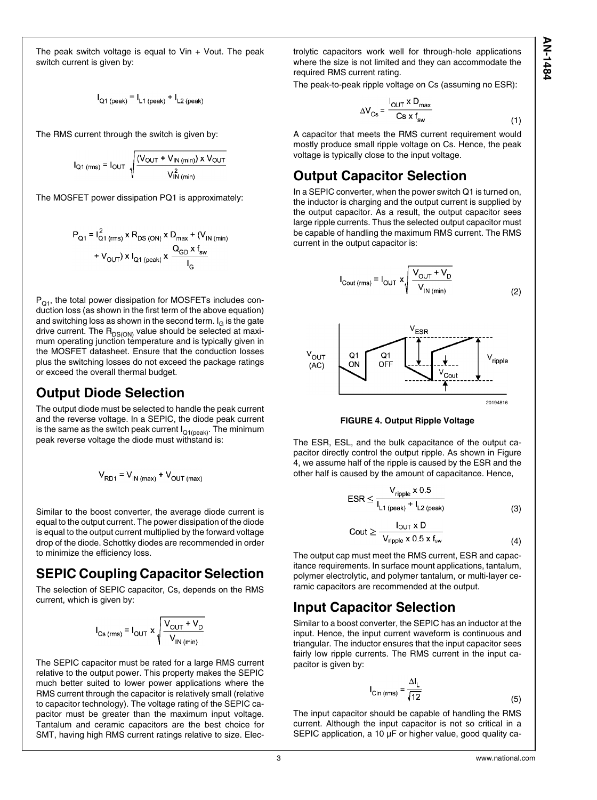The peak switch voltage is equal to  $V$ in +  $V$ out. The peak switch current is given by:

$$
I_{Q1 (peak)} = I_{L1 (peak)} + I_{L2 (peak)}
$$

The RMS current through the switch is given by:

$$
I_{\text{Q1 (rms)}} = I_{\text{OUT}} \sqrt{\frac{(V_{\text{OUT}} + V_{\text{IN (min)}}) \times V_{\text{OUT}}}{V_{\text{IN (min)}}^2}}
$$

The MOSFET power dissipation PQ1 is approximately:

$$
P_{Q1} = I_{Q1 (rms)}^{2} \times R_{DS (ON)} \times D_{max} + (V_{IN (min)} + V_{OUT}) \times I_{Q1 (peak)} \times \frac{Q_{GD} \times f_{sw}}{I_{G}}
$$

 $P_{01}$ , the total power dissipation for MOSFETs includes conduction loss (as shown in the first term of the above equation) and switching loss as shown in the second term. I<sub>G</sub> is the gate drive current. The  $R_{DS(ON)}$  value should be selected at maximum operating junction temperature and is typically given in the MOSFET datasheet. Ensure that the conduction losses plus the switching losses do not exceed the package ratings or exceed the overall thermal budget.

### **Output Diode Selection**

The output diode must be selected to handle the peak current and the reverse voltage. In a SEPIC, the diode peak current is the same as the switch peak current  $I_{Q1(peak)}$ . The minimum peak reverse voltage the diode must withstand is:

$$
V_{RD1} = V_{IN \, (max)} + V_{OUT \, (max)}
$$

Similar to the boost converter, the average diode current is equal to the output current. The power dissipation of the diode is equal to the output current multiplied by the forward voltage drop of the diode. Schottky diodes are recommended in order to minimize the efficiency loss.

## **SEPIC Coupling Capacitor Selection**

The selection of SEPIC capacitor, Cs, depends on the RMS current, which is given by:

$$
I_{\text{Cs (rms)}} = I_{\text{OUT}} \times \sqrt{\frac{V_{\text{OUT}} + V_{\text{D}}}{V_{\text{IN (min)}}}}
$$

The SEPIC capacitor must be rated for a large RMS current relative to the output power. This property makes the SEPIC much better suited to lower power applications where the RMS current through the capacitor is relatively small (relative to capacitor technology). The voltage rating of the SEPIC capacitor must be greater than the maximum input voltage. Tantalum and ceramic capacitors are the best choice for SMT, having high RMS current ratings relative to size. Electrolytic capacitors work well for through-hole applications where the size is not limited and they can accommodate the required RMS current rating.

The peak-to-peak ripple voltage on Cs (assuming no ESR):

$$
\Delta V_{\text{Cs}} = \frac{I_{\text{OUT}} \times D_{\text{max}}}{\text{Cs} \times f_{\text{sw}}}
$$
 (1)

A capacitor that meets the RMS current requirement would mostly produce small ripple voltage on Cs. Hence, the peak voltage is typically close to the input voltage.

## **Output Capacitor Selection**

In a SEPIC converter, when the power switch Q1 is turned on, the inductor is charging and the output current is supplied by the output capacitor. As a result, the output capacitor sees large ripple currents. Thus the selected output capacitor must be capable of handling the maximum RMS current. The RMS current in the output capacitor is:



**FIGURE 4. Output Ripple Voltage**

The ESR, ESL, and the bulk capacitance of the output capacitor directly control the output ripple. As shown in Figure 4, we assume half of the ripple is caused by the ESR and the other half is caused by the amount of capacitance. Hence,

$$
ESR \le \frac{V_{\text{ripple}} \times 0.5}{I_{L1 \text{ (peak)}} + I_{L2 \text{ (peak)}}}
$$
(3)

$$
Cout \geq \frac{1001 \times 100}{V_{\text{ripple}} \times 0.5 \times f_{\text{sw}}}
$$
 (4)

The output cap must meet the RMS current, ESR and capacitance requirements. In surface mount applications, tantalum, polymer electrolytic, and polymer tantalum, or multi-layer ceramic capacitors are recommended at the output.

## **Input Capacitor Selection**

Similar to a boost converter, the SEPIC has an inductor at the input. Hence, the input current waveform is continuous and triangular. The inductor ensures that the input capacitor sees fairly low ripple currents. The RMS current in the input capacitor is given by:

$$
I_{\text{Cin (rms)}} = \frac{\Delta I_L}{\sqrt{12}}
$$
 (5)

The input capacitor should be capable of handling the RMS current. Although the input capacitor is not so critical in a SEPIC application, a 10 µF or higher value, good quality ca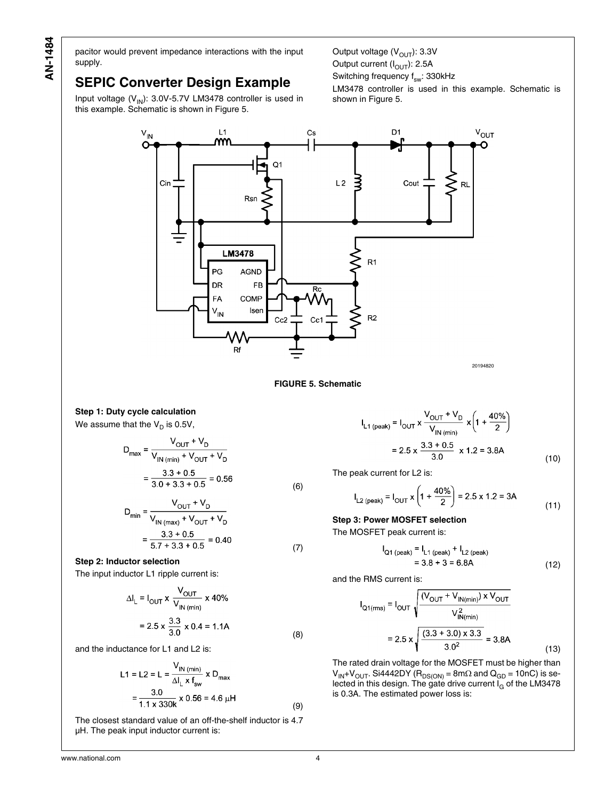pacitor would prevent impedance interactions with the input supply.

## **SEPIC Converter Design Example**

Input voltage  $(V_{\text{IN}})$ : 3.0V-5.7V LM3478 controller is used in this example. Schematic is shown in Figure 5.

Output voltage  $(V_{OUT})$ : 3.3V Output current  $(I<sub>OUT</sub>)$ : 2.5A Switching frequency  $f_{sw}$ : 330kHz

LM3478 controller is used in this example. Schematic is shown in Figure 5.



**FIGURE 5. Schematic**

(6)

(7)

(8)

(9)

**Step 1: Duty cycle calculation**

We assume that the  $\mathsf{V}_\mathsf{D}$  is 0.5V,

$$
D_{\text{max}} = \frac{V_{\text{OUT}} + V_{\text{D}}}{V_{\text{IN (min)} + V_{\text{OUT}} + V_{\text{D}}}}
$$

$$
= \frac{3.3 + 0.5}{3.0 + 3.3 + 0.5} = 0.56
$$

$$
D_{\min} = \frac{V_{\text{OUT}} + V_{\text{D}}}{V_{\text{IN (max)}} + V_{\text{OUT}} + V_{\text{D}}}
$$

$$
= \frac{3.3 + 0.5}{5.7 + 3.3 + 0.5} = 0.40
$$

#### **Step 2: Inductor selection**

The input inductor L1 ripple current is:

$$
\Delta I_{L} = I_{\text{OUT}} \times \frac{V_{\text{OUT}}}{V_{\text{IN (min)}}} \times 40\%
$$
  
= 2.5 x  $\frac{3.3}{3.0} \times 0.4 = 1.1$ A

and the inductance for L1 and L2 is:

$$
L1 = L2 = L = \frac{V_{IN \text{ (min)}}}{\Delta l_L \times f_{sw}} \times D_{max}
$$

$$
= \frac{3.0}{1.1 \times 330k} \times 0.56 = 4.6 \text{ }\mu\text{H}
$$

The closest standard value of an off-the-shelf inductor is 4.7 µH. The peak input inductor current is:

$$
I_{L1 (peak)} = I_{OUT} \times \frac{V_{OUT} + V_D}{V_{IN (min)}} \times \left(1 + \frac{40\%}{2}\right)
$$

$$
= 2.5 \times \frac{3.3 + 0.5}{3.0} \times 1.2 = 3.8A
$$
(10)

The peak current for L2 is:

$$
I_{L2 (peak)} = I_{OUT} x \left( 1 + \frac{40\%}{2} \right) = 2.5 x 1.2 = 3A
$$
\n(11)

## **Step 3: Power MOSFET selection**

The MOSFET peak current is:

$$
I_{Q1 (peak)} = I_{L1 (peak)} + I_{L2 (peak)}
$$
  
= 3.8 + 3 = 6.8A (12)

and the RMS current is:

$$
I_{Q1(ms)} = I_{OUT} \sqrt{\frac{(V_{OUT} + V_{IN(min)}) \times V_{OUT}}{V_{IN(min)}^2}}
$$
  
= 2.5 x  $\sqrt{\frac{(3.3 + 3.0) \times 3.3}{3.0^2}} = 3.8A$  (13)

The rated drain voltage for the MOSFET must be higher than  $V_{\text{IN}}+V_{\text{OUT}}$ . Si4442DY (R<sub>DS(ON)</sub> = 8m $\Omega$  and Q<sub>GD</sub> = 10nC) is selected in this design. The gate drive current I<sub>G</sub> of the LM3478 is 0.3A. The estimated power loss is: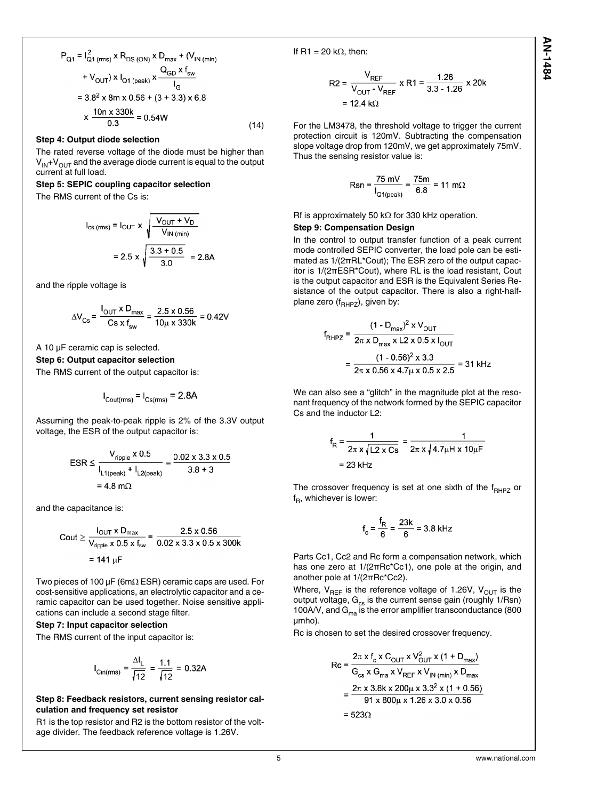$$
P_{Q1} = I_{Q1 (rms)}^{2} \times R_{DS (ON)} \times D_{max} + (V_{IN (min)} + V_{OUT}) \times I_{Q1 (peak)} \times \frac{Q_{GD} \times f_{sw}}{I_{G}}
$$
  
= 3.8<sup>2</sup> x 8m x 0.56 + (3 + 3.3) x 6.8  

$$
\times \frac{10n \times 330k}{0.3} = 0.54W
$$
 (14)

#### **Step 4: Output diode selection**

The rated reverse voltage of the diode must be higher than  $V_{\text{IN}}+V_{\text{OUT}}$  and the average diode current is equal to the output current at full load.

#### **Step 5: SEPIC coupling capacitor selection**

The RMS current of the Cs is:

$$
I_{\text{cs (rms)}} = I_{\text{OUT}} \times \sqrt{\frac{V_{\text{OUT}} + V_{\text{D}}}{V_{\text{IN (min)}}}}
$$

$$
= 2.5 \times \sqrt{\frac{3.3 + 0.5}{3.0}} = 2.8 \text{A}
$$

and the ripple voltage is

$$
\Delta V_{\text{Cs}} = \frac{I_{\text{OUT}} \times D_{\text{max}}}{Cs \times f_{\text{sw}}} = \frac{2.5 \times 0.56}{10 \mu \times 330 \text{k}} = 0.42 \text{V}
$$

A 10 µF ceramic cap is selected.

#### **Step 6: Output capacitor selection**

The RMS current of the output capacitor is:

$$
I_{\text{Cout(rms)}} = I_{\text{Cs(rms)}} = 2.8A
$$

Assuming the peak-to-peak ripple is 2% of the 3.3V output voltage, the ESR of the output capacitor is:

$$
ESR \le \frac{V_{\text{ripple}} \times 0.5}{I_{\text{L1(peak)}} + I_{\text{L2(peak)}}} = \frac{0.02 \times 3.3 \times 0.5}{3.8 + 3}
$$

$$
= 4.8 \text{ m}\Omega
$$

and the capacitance is:

Cout 
$$
\ge \frac{I_{\text{OUT}} \times D_{\text{max}}}{V_{\text{ripple}} \times 0.5 \times f_{\text{sw}}} = \frac{2.5 \times 0.56}{0.02 \times 3.3 \times 0.5 \times 300 \text{ k}}
$$
  
= 141 μF

Two pieces of 100 µF (6mΩ ESR) ceramic caps are used. For cost-sensitive applications, an electrolytic capacitor and a ceramic capacitor can be used together. Noise sensitive applications can include a second stage filter.

#### **Step 7: Input capacitor selection**

The RMS current of the input capacitor is:

$$
I_{\text{Cin(rms)}} = \frac{\Delta I_L}{\sqrt{12}} = \frac{1.1}{\sqrt{12}} = 0.32A
$$

#### **Step 8: Feedback resistors, current sensing resistor calculation and frequency set resistor**

R1 is the top resistor and R2 is the bottom resistor of the voltage divider. The feedback reference voltage is 1.26V.

If R1 = 20 k $\Omega$ , then:

$$
R2 = \frac{V_{REF}}{V_{OUT} - V_{REF}} \times R1 = \frac{1.26}{3.3 - 1.26} \times 20k
$$
  
= 12.4 kΩ

For the LM3478, the threshold voltage to trigger the current protection circuit is 120mV. Subtracting the compensation slope voltage drop from 120mV, we get approximately 75mV. Thus the sensing resistor value is:

$$
Rsn = \frac{75 \text{ mV}}{I_{Q1(\text{peak})}} = \frac{75 \text{ m}}{6.8} = 11 \text{ m}\Omega
$$

Rf is approximately 50 kΩ for 330 kHz operation.

#### **Step 9: Compensation Design**

In the control to output transfer function of a peak current mode controlled SEPIC converter, the load pole can be estimated as 1/(2πRL\*Cout); The ESR zero of the output capacitor is 1/(2πESR\*Cout), where RL is the load resistant, Cout is the output capacitor and ESR is the Equivalent Series Resistance of the output capacitor. There is also a right-halfplane zero  $(f_{RHPZ})$ , given by:

$$
f_{\text{RHPZ}} = \frac{(1 - D_{\text{max}})^2 \times V_{\text{OUT}}}{2\pi \times D_{\text{max}} \times L2 \times 0.5 \times I_{\text{OUT}}}
$$

$$
= \frac{(1 - 0.56)^2 \times 3.3}{2\pi \times 0.56 \times 4.7 \mu \times 0.5 \times 2.5} = 31 \text{ kHz}
$$

We can also see a "glitch" in the magnitude plot at the resonant frequency of the network formed by the SEPIC capacitor Cs and the inductor L2:

$$
f_{\text{R}} = \frac{1}{2\pi \times \sqrt{L2 \times Cs}} = \frac{1}{2\pi \times \sqrt{4.7 \mu H \times 10 \mu F}}
$$
  
= 23 kHz

The crossover frequency is set at one sixth of the  $f_{RHPZ}$  or f<sub>R</sub>, whichever is lower:

$$
f_c = \frac{f_R}{6} = \frac{23k}{6} = 3.8 \text{ kHz}
$$

Parts Cc1, Cc2 and Rc form a compensation network, which has one zero at 1/(2πRc\*Cc1), one pole at the origin, and another pole at 1/(2πRc\*Cc2).

Where,  $V_{REF}$  is the reference voltage of 1.26V,  $V_{OUT}$  is the output voltage,  $G_{cs}$  is the current sense gain (roughly 1/Rsn) 100A/V, and  $G_{ma}$  is the error amplifier transconductance (800 µmho).

Rc is chosen to set the desired crossover frequency.

$$
Rc = \frac{2\pi \times f_c \times C_{OUT} \times V_{OUT}^2 \times (1 + D_{max})}{G_{cs} \times G_{ma} \times V_{REF} \times V_{IN (min)} \times D_{max}}
$$
  
= 
$$
\frac{2\pi \times 3.8k \times 200\mu \times 3.3^2 \times (1 + 0.56)}{91 \times 800\mu \times 1.26 \times 3.0 \times 0.56}
$$
  
= 523 $\Omega$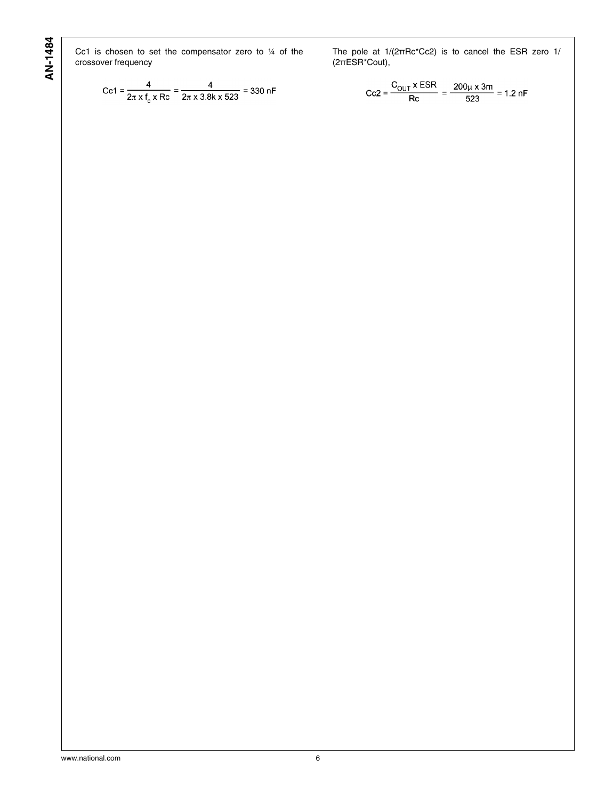Cc1 is chosen to set the compensator zero to ¼ of the crossover frequency

The pole at 1/(2πRc\*Cc2) is to cancel the ESR zero 1/ (2πESR\*Cout),

$$
Cc1 = \frac{4}{2\pi \times f_c \times Rc} = \frac{4}{2\pi \times 3.8k \times 523} = 330 \text{ nF}
$$

$$
Cc2 = \frac{C_{OUT} \times ESR}{Rc} = \frac{200 \mu \times 3m}{523} = 1.2 \text{ nF}
$$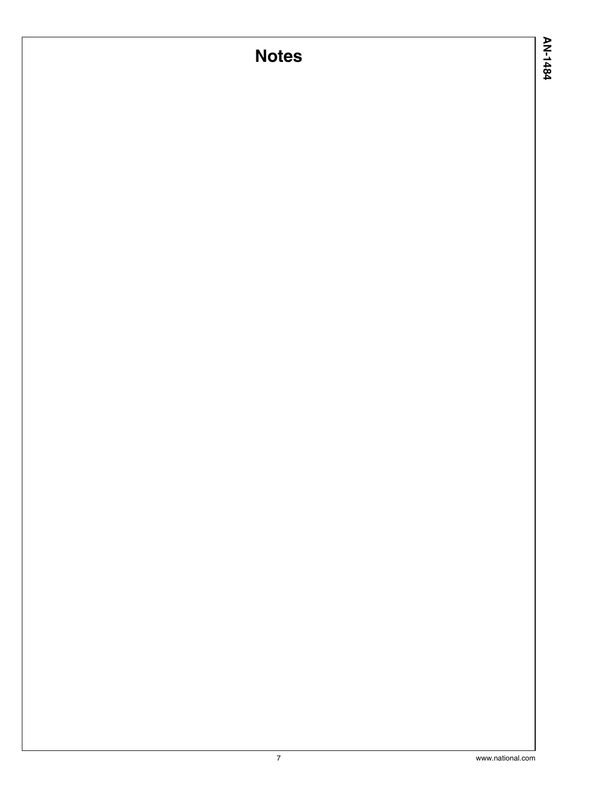# **Notes**

AN-1484 **AN-1484**